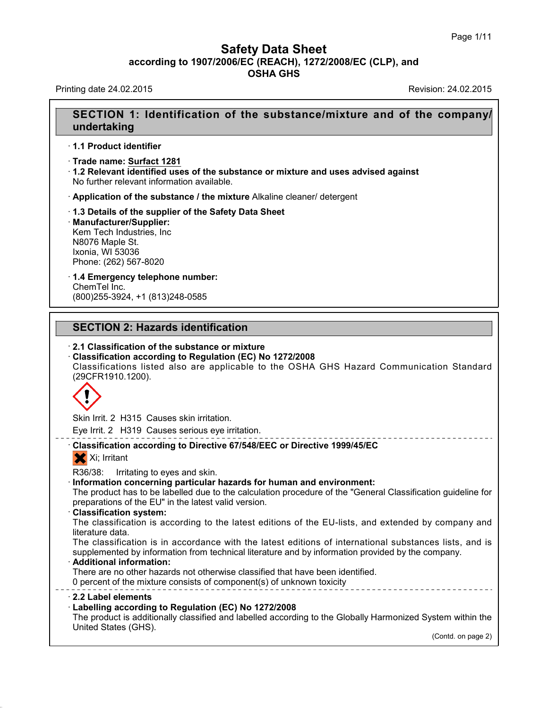# **Safety Data Sheet<br>006/EC (REACH), 1272/2008/EC (CLP),<br>OSHA GHS according to 1907/2006/EC (REACH), 1272/2008/EC (CLP), and<br>
Data Sheet (CLP), and<br>
OSHA GHS Safety Data Sheet**<br>according to 1907/2006/EC (REACH), 1272/2008/EC (CLP), and<br>OSHA GHS **Safety Data Sheet<br>
according to 1907/2006/EC (REACH), 1272/2008/EC (CLP), and<br>
OSHA GHS<br>
Revision: 24.02.2015<br>
Revision: 24.02.2015**

## **SECTION 1: Identification of the substance/mixture and of the company/ undertaking**

· **1.1 Product identifier**

· **Trade name: Surfact 1281**

· **1.2 Relevant identified uses of the substance or mixture and uses advised against** No further relevant information available.

· **Application of the substance / the mixture** Alkaline cleaner/ detergent

· **1.3 Details of the supplier of the Safety Data Sheet** · **Manufacturer/Supplier:** Kem Tech Industries, Inc N8076 Maple St. Ixonia, WI 53036 Phone: (262) 567-8020

· **1.4 Emergency telephone number:** ChemTel Inc. **1.4 Emergency telephone number:**<br>ChemTel Inc.<br>(800)255-3924, +1 (813)248-0585<br>**SECTION 2: Hazards identification**<br>2.1 Classification of the substance or mixture

(800)255-3924, +1 (813)248-0585

**SECTION 2: Hazards identification<br>
· 2.1 Classification of the substance or mixture<br>
· Classification according to Regulation (EC) No 1272/2008** 

**SECTION 2: Hazards identification<br>
· 2.1 Classification of the substance or mixture<br>
· Classification according to Regulation (EC) No 1272/2008<br>
Classifications listed also are applicable to the OSHA GHS H<br>
(29CFR1910.120** SECTION 2: Hazards identification<br>2.1 Classification of the substance or mixture<br>Classification according to Regulation (EC) No 1272/2008<br>Classifications listed also are applicable to the OSHA GHS Hazard Communication Stan (29CFR1910.1200).



Eye Irrit. 2 H319 Causes serious eye irritation.

# Eye Irrit. 2 H315 Causes skin irritation.<br>
Eye Irrit. 2 H319 Causes serious eye irritation.<br> **Classification according to Directive 67/548/EEC or Directive 1999/45/EC**<br>
Xi; Irritant Skin Irrit. 2 H315 Causes skin irritation.<br>
Eye Irrit. 2 H319 Causes serious eye irritation.<br>
Classification according to Directive 67/548/EEC or Directive 1999/45/EC<br>
Xi; Irritant<br>
R36/38: Irritating to eyes and skin.

Readerstrating to eyes and skin.<br> **Eye Irrit. 2 H319 Causes serious eye irritation.**<br> **Classification according to Directive 67/548/EEC or Directive 1999/45/EC**<br>
Xi; Irritating to eyes and skin.<br> **Information concerning pa** Classification according to Directive 67/548/EEC or Directive 1999/45/EC<br>
Xi; Irritant<br>
R36/38: Irritating to eyes and skin.<br>
Information concerning particular hazards for human and environment:<br>
The product has to be labe X; Irritant<br>
R36/38: Irritating to eyes and skin.<br> **Information concerning particular hazards for human an**<br>
The product has to be labelled due to the calculation proced<br>
preparations of the EU" in the latest valid version Information concerning pa<br>The product has to be labelle<br>preparations of the EU" in th<br>Classification system:<br>The classification is accor<br>literature data.<br>The classification is in accor

R36/38: Irritating to eyes and skin.<br>Information concerning particular hazards for human and environment:<br>The product has to be labelled due to the calculation procedure of the "General Classification guideline for<br>prepara

The product has to be labelled due to the calculation procedure of the "General Classification guideline for<br>preparations of the EU" in the latest valid version.<br>**Classification system:**<br>The classification is according to suppreparations of the EU" in the latest valid version.<br>
Classification system:<br>
The classification is according to the latest editions of the EU-lists, and extended by company and<br>
literature data.<br>
The classification is The classification is according to the latest editions of the EU-lists, and extende<br>literature data.<br>The classification is in accordance with the latest editions of international subst<br>supplemented by information from tech literature data.<br>The classification is in accordance with the latest editions of international supplemented by information from technical literature and by information provided<br>**Additional information:**<br>There are no other supplemented by information from technical literature and by information provided by the company.<br> **2.2 Label elements**<br> **2.2 Label elements**<br> **2.2 Label elements**<br> **2.2 Label elements**<br> **2.2 Label elements**<br> **2.2 Label el** 

40.1.0

**Example 12 and 13 and 13 and 13 and 13 and 13 and 13 and 13 and 13 and 13 and 13 and 13 and 13 and 13 and 13 and 13 and 13 and 13 and 13 and 13 and 13 and 13 and 13 and 13 and 13 and 13 and 13 and 13 and 13 and 13 and 13** There are no other hazards not otherwise classified that have been identified.<br>
There are no other hazards not otherwise classified that have been identified.<br> **2.2 Label elements**<br> **Labelling according to Regulation (EC)** Opercent of the mixture consists<br>
2.2 Label elements<br>
2.2 Label elements<br>
Labelling according to Regulat<br>
The product is additionally classif<br>
United States (GHS). stem within the<br>(Contd. on page 2)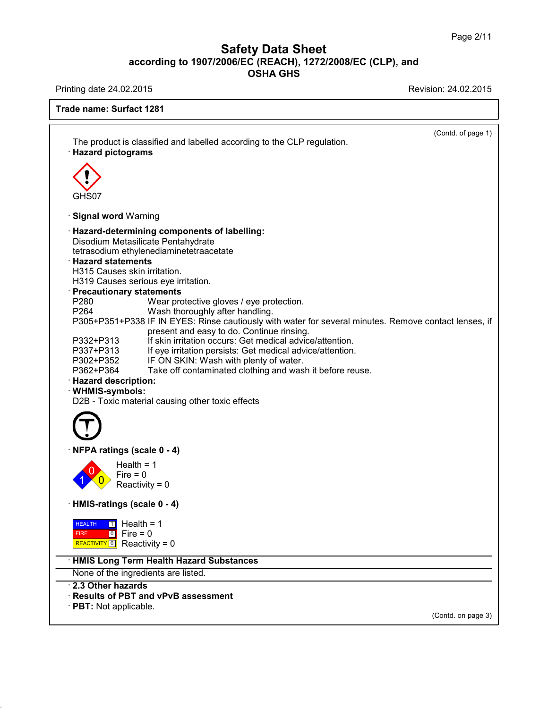Printing date 24.02.2015 **Revision: 24.02.2015** 

40.1.0

| (Contd. of page 1)<br>The product is classified and labelled according to the CLP regulation.<br><b>Hazard pictograms</b><br>GHS07<br>· Signal word Warning<br>· Hazard-determining components of labelling:<br>Disodium Metasilicate Pentahydrate<br>tetrasodium ethylenediaminetetraacetate<br><b>Hazard statements</b><br>H315 Causes skin irritation.<br>H319 Causes serious eye irritation.<br>· Precautionary statements<br>P280<br>Wear protective gloves / eye protection.<br>P264<br>Wash thoroughly after handling.<br>P305+P351+P338 IF IN EYES: Rinse cautiously with water for several minutes. Remove contact lenses, if<br>present and easy to do. Continue rinsing.<br>If skin irritation occurs: Get medical advice/attention.<br>P332+P313<br>P337+P313<br>If eye irritation persists: Get medical advice/attention.<br>IF ON SKIN: Wash with plenty of water.<br>P302+P352<br>Take off contaminated clothing and wash it before reuse.<br>P362+P364<br>· Hazard description:<br>· WHMIS-symbols:<br>D2B - Toxic material causing other toxic effects<br>NFPA ratings (scale 0 - 4)<br>Health = $1$<br>Fire $= 0$<br>Reactivity = $0$<br>HMIS-ratings (scale 0 - 4)<br>$\boxed{1}$ Health = 1<br><b>HEALTH</b><br>$\boxed{0}$ Fire = 0<br><b>FIRE</b><br>REACTIVITY 0 Reactivity = 0<br>· HMIS Long Term Health Hazard Substances<br>None of the ingredients are listed.<br>2.3 Other hazards<br>· Results of PBT and vPvB assessment<br>· PBT: Not applicable.<br>(Contd. on page 3) | Trade name: Surfact 1281 |  |  |  |  |
|---------------------------------------------------------------------------------------------------------------------------------------------------------------------------------------------------------------------------------------------------------------------------------------------------------------------------------------------------------------------------------------------------------------------------------------------------------------------------------------------------------------------------------------------------------------------------------------------------------------------------------------------------------------------------------------------------------------------------------------------------------------------------------------------------------------------------------------------------------------------------------------------------------------------------------------------------------------------------------------------------------------------------------------------------------------------------------------------------------------------------------------------------------------------------------------------------------------------------------------------------------------------------------------------------------------------------------------------------------------------------------------------------------------------------------------------------------------------------------------------------------|--------------------------|--|--|--|--|
|                                                                                                                                                                                                                                                                                                                                                                                                                                                                                                                                                                                                                                                                                                                                                                                                                                                                                                                                                                                                                                                                                                                                                                                                                                                                                                                                                                                                                                                                                                         |                          |  |  |  |  |
|                                                                                                                                                                                                                                                                                                                                                                                                                                                                                                                                                                                                                                                                                                                                                                                                                                                                                                                                                                                                                                                                                                                                                                                                                                                                                                                                                                                                                                                                                                         |                          |  |  |  |  |
|                                                                                                                                                                                                                                                                                                                                                                                                                                                                                                                                                                                                                                                                                                                                                                                                                                                                                                                                                                                                                                                                                                                                                                                                                                                                                                                                                                                                                                                                                                         |                          |  |  |  |  |
|                                                                                                                                                                                                                                                                                                                                                                                                                                                                                                                                                                                                                                                                                                                                                                                                                                                                                                                                                                                                                                                                                                                                                                                                                                                                                                                                                                                                                                                                                                         |                          |  |  |  |  |
|                                                                                                                                                                                                                                                                                                                                                                                                                                                                                                                                                                                                                                                                                                                                                                                                                                                                                                                                                                                                                                                                                                                                                                                                                                                                                                                                                                                                                                                                                                         |                          |  |  |  |  |
|                                                                                                                                                                                                                                                                                                                                                                                                                                                                                                                                                                                                                                                                                                                                                                                                                                                                                                                                                                                                                                                                                                                                                                                                                                                                                                                                                                                                                                                                                                         |                          |  |  |  |  |
|                                                                                                                                                                                                                                                                                                                                                                                                                                                                                                                                                                                                                                                                                                                                                                                                                                                                                                                                                                                                                                                                                                                                                                                                                                                                                                                                                                                                                                                                                                         |                          |  |  |  |  |
|                                                                                                                                                                                                                                                                                                                                                                                                                                                                                                                                                                                                                                                                                                                                                                                                                                                                                                                                                                                                                                                                                                                                                                                                                                                                                                                                                                                                                                                                                                         |                          |  |  |  |  |
|                                                                                                                                                                                                                                                                                                                                                                                                                                                                                                                                                                                                                                                                                                                                                                                                                                                                                                                                                                                                                                                                                                                                                                                                                                                                                                                                                                                                                                                                                                         |                          |  |  |  |  |
|                                                                                                                                                                                                                                                                                                                                                                                                                                                                                                                                                                                                                                                                                                                                                                                                                                                                                                                                                                                                                                                                                                                                                                                                                                                                                                                                                                                                                                                                                                         |                          |  |  |  |  |
|                                                                                                                                                                                                                                                                                                                                                                                                                                                                                                                                                                                                                                                                                                                                                                                                                                                                                                                                                                                                                                                                                                                                                                                                                                                                                                                                                                                                                                                                                                         |                          |  |  |  |  |
|                                                                                                                                                                                                                                                                                                                                                                                                                                                                                                                                                                                                                                                                                                                                                                                                                                                                                                                                                                                                                                                                                                                                                                                                                                                                                                                                                                                                                                                                                                         |                          |  |  |  |  |
|                                                                                                                                                                                                                                                                                                                                                                                                                                                                                                                                                                                                                                                                                                                                                                                                                                                                                                                                                                                                                                                                                                                                                                                                                                                                                                                                                                                                                                                                                                         |                          |  |  |  |  |
|                                                                                                                                                                                                                                                                                                                                                                                                                                                                                                                                                                                                                                                                                                                                                                                                                                                                                                                                                                                                                                                                                                                                                                                                                                                                                                                                                                                                                                                                                                         |                          |  |  |  |  |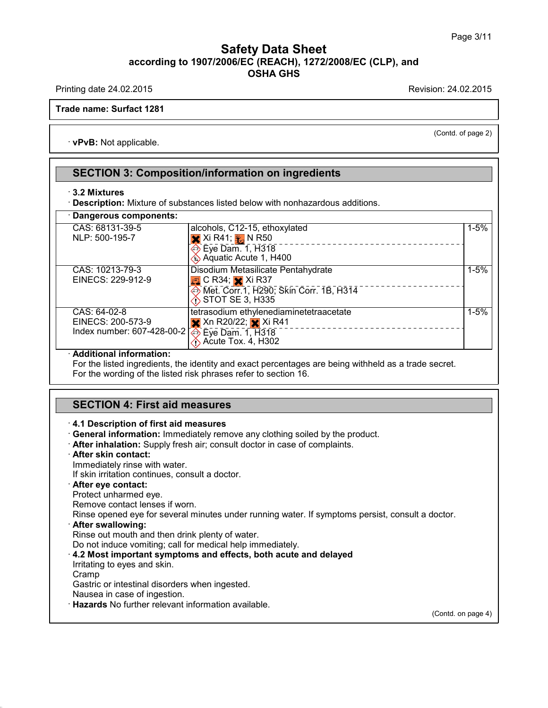Printing date 24.02.2015 **Printing date 24.02.2015** 

(Contd. of page 2)

**Trade name: Surfact 1281**

· **vPvB:** Not applicable.

#### **SECTION 3: Composition/information on ingredients**

#### · **3.2 Mixtures**

· **Description:** Mixture of substances listed below with nonhazardous additions.

| <b>Dangerous components:</b>                                                                                  |                                                                                                                                     |          |
|---------------------------------------------------------------------------------------------------------------|-------------------------------------------------------------------------------------------------------------------------------------|----------|
| CAS: 68131-39-5<br>NLP: 500-195-7                                                                             | alcohols, C12-15, ethoxylated<br>$\overline{\mathsf{X}}$ Xi R41; $\overline{\mathsf{Y}}$ N R50                                      | $1 - 5%$ |
| CAS: 10213-79-3                                                                                               | Eye Dam. 1, H318<br>Aquatic Acute 1, H400<br>Disodium Metasilicate Pentahydrate                                                     | $1 - 5%$ |
| EINECS: 229-912-9                                                                                             | $\Box$ C R34; $\times$ Xi R37<br><b>EXAMPLE 2001 Skin Corr. 1B, H314</b><br><b>◇ STOT SE 3, H335</b>                                |          |
| CAS: 64-02-8<br>EINECS: 200-573-9<br>Index number: 607-428-00-2 $\overline{\Leftrightarrow}$ Eye Dam. 1, H318 | tetrasodium ethylenediaminetetraacetate<br>$\mathsf{\times}$ Xn R20/22; $\mathsf{\times}$ Xi R41<br>$\bigotimes$ Acute Tox. 4, H302 | $1 - 5%$ |

#### · **Additional information:**

For the listed ingredients, the identity and exact percentages are being withheld as a trade secret. For the wording of the listed risk phrases refer to section 16.

#### **SECTION 4: First aid measures**

#### · **4.1 Description of first aid measures**

- · **General information:** Immediately remove any clothing soiled by the product.
- · **After inhalation:** Supply fresh air; consult doctor in case of complaints.
- · **After skin contact:**

Immediately rinse with water.

If skin irritation continues, consult a doctor.

#### · **After eye contact:**

Protect unharmed eye.

Remove contact lenses if worn.

Rinse opened eye for several minutes under running water. If symptoms persist, consult a doctor.

#### · **After swallowing:**

Rinse out mouth and then drink plenty of water.

Do not induce vomiting; call for medical help immediately.

· **4.2 Most important symptoms and effects, both acute and delayed**

Irritating to eyes and skin.

Cramp

40.1.0

Gastric or intestinal disorders when ingested.

Nausea in case of ingestion.

· **Hazards** No further relevant information available.

(Contd. on page 4)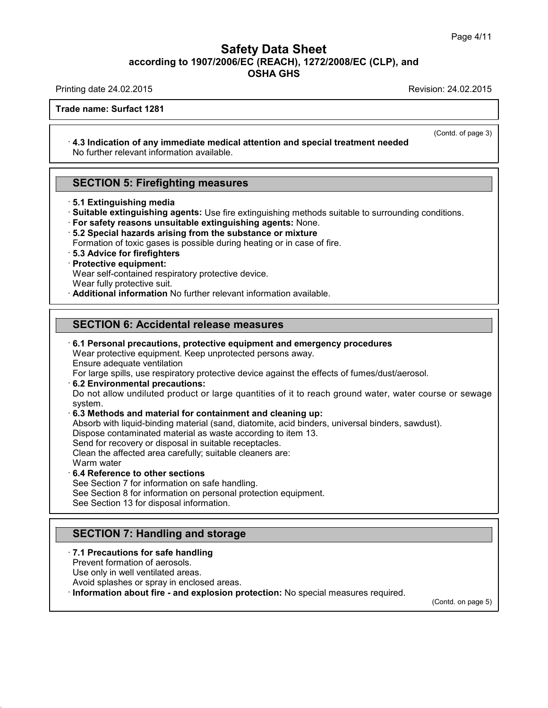Printing date 24.02.2015 **Printing date 24.02.2015** 

(Contd. of page 3)

**Trade name: Surfact 1281**

#### · **4.3 Indication of any immediate medical attention and special treatment needed** No further relevant information available.

#### **SECTION 5: Firefighting measures**

- · **5.1 Extinguishing media**
- · **Suitable extinguishing agents:** Use fire extinguishing methods suitable to surrounding conditions.
- · **For safety reasons unsuitable extinguishing agents:** None.
- · **5.2 Special hazards arising from the substance ormixture**
- Formation of toxic gases is possible during heating or in case of fire.
- · **5.3 Advice for firefighters**

#### · **Protective equipment:**

Wear self-contained respiratory protective device.

Wear fully protective suit.

· **Additional information** No further relevant information available.

#### **SECTION 6: Accidental release measures**

#### · **6.1 Personal precautions, protective equipment and emergency procedures**

Wear protective equipment. Keep unprotected persons away.

Ensure adequate ventilation

For large spills, use respiratory protective device against the effects of fumes/dust/aerosol.

· **6.2 Environmental precautions:**

Do not allow undiluted product or large quantities of it to reach ground water, water course or sewage system.

#### · **6.3 Methods and material for containment and cleaning up:**

Absorb with liquid-binding material (sand, diatomite, acid binders, universal binders, sawdust).

Dispose contaminated material as waste according to item 13.

Send for recovery or disposal in suitable receptacles.

Clean the affected area carefully; suitable cleaners are:

Warm water

40.1.0

#### · **6.4 Reference to other sections**

See Section 7 for information on safe handling.

See Section 8 for information on personal protection equipment.

See Section 13 for disposal information.

## **SECTION 7: Handling and storage**

#### · **7.1 Precautions for safe handling**

Prevent formation of aerosols.

Use only in well ventilated areas.

Avoid splashes or spray in enclosed areas.

· **Information about fire - and explosion protection:** No special measures required.

(Contd. on page 5)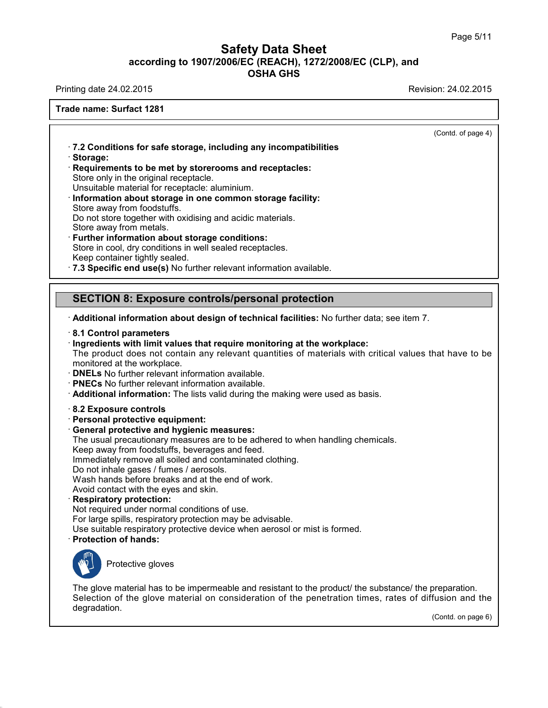Printing date 24.02.2015 **Printing date 24.02.2015** 

**Trade name: Surfact 1281**

(Contd. of page 4)

· **7.2 Conditions for safe storage, including any incompatibilities** · **Storage:** · **Requirements to be met by storerooms and receptacles:**

Store only in the original receptacle.

Unsuitable material for receptacle: aluminium.

- · **Information about storage in one common storage facility:** Store away from foodstuffs. Do not store together with oxidising and acidic materials. Store away from metals.
- · **Further information about storage conditions:** Store in cool, dry conditions in well sealed receptacles. Keep container tightly sealed.

· **7.3 Specific end use(s)** No further relevant information available.

## **SECTION 8: Exposure controls/personal protection**

· **Additional information about design of technical facilities:** No further data; see item 7.

- · **8.1 Control parameters**
- · **Ingredients with limit values that require monitoring at the workplace:**

The product does not contain any relevant quantities of materials with critical values that have to be monitored at the workplace.

- · **DNELs** No further relevant information available.
- · **PNECs** No further relevant information available.
- · **Additional information:** The lists valid during the making were used as basis.
- · **8.2 Exposure controls**
- · **Personal protective equipment:**
- · **General protective and hygienic measures:**
- The usual precautionary measures are to be adhered to when handling chemicals.

Keep away from foodstuffs, beverages and feed.

Immediately remove all soiled and contaminated clothing.

Do not inhale gases / fumes / aerosols.

Wash hands before breaks and at the end of work.

- Avoid contact with the eyes and skin.
- · **Respiratory protection:**

Not required under normal conditions of use. For large spills, respiratory protection may be advisable. Use suitable respiratory protective device when aerosol or mist is formed. · **Protection of hands:**



40.1.0

Protective gloves

The glove material has to be impermeable and resistant to the product/ the substance/ the preparation. Selection of the glove material on consideration of the penetration times, rates of diffusion and the degradation.

(Contd. on page 6)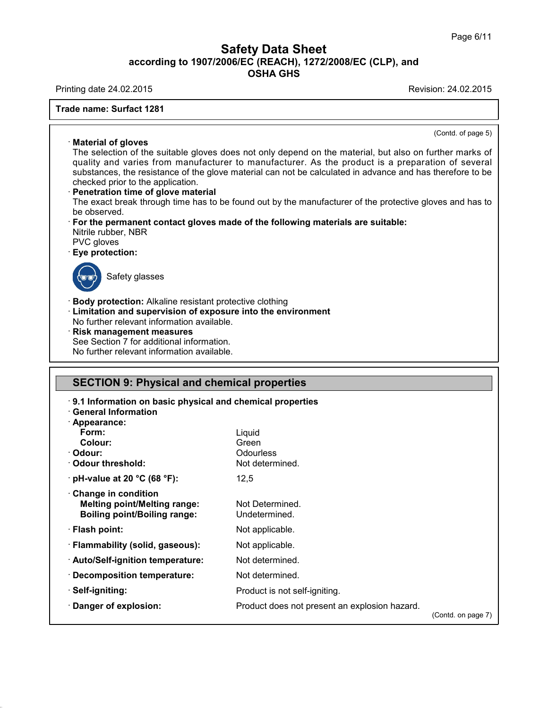Printing date 24.02.2015 Revision: 24.02.2015

40.1.0

**Trade name: Surfact 1281**

(Contd. on page 7)

|                                                                                                                                                            | (Contd. of page 5)                                                                                                                                                                                                                                                                                                                                                                                                                                                                                                       |
|------------------------------------------------------------------------------------------------------------------------------------------------------------|--------------------------------------------------------------------------------------------------------------------------------------------------------------------------------------------------------------------------------------------------------------------------------------------------------------------------------------------------------------------------------------------------------------------------------------------------------------------------------------------------------------------------|
| $\cdot$ Material of gloves<br>checked prior to the application.<br>Penetration time of glove material<br>be observed.<br>Nitrile rubber, NBR<br>PVC gloves | The selection of the suitable gloves does not only depend on the material, but also on further marks of<br>quality and varies from manufacturer to manufacturer. As the product is a preparation of several<br>substances, the resistance of the glove material can not be calculated in advance and has therefore to be<br>The exact break through time has to be found out by the manufacturer of the protective gloves and has to<br>· For the permanent contact gloves made of the following materials are suitable: |
| · Eye protection:                                                                                                                                          |                                                                                                                                                                                                                                                                                                                                                                                                                                                                                                                          |
| Safety glasses                                                                                                                                             |                                                                                                                                                                                                                                                                                                                                                                                                                                                                                                                          |
| Risk management measures<br>See Section 7 for additional information.                                                                                      |                                                                                                                                                                                                                                                                                                                                                                                                                                                                                                                          |
| No further relevant information available.                                                                                                                 |                                                                                                                                                                                                                                                                                                                                                                                                                                                                                                                          |
| <b>SECTION 9: Physical and chemical properties</b>                                                                                                         |                                                                                                                                                                                                                                                                                                                                                                                                                                                                                                                          |
| 9.1 Information on basic physical and chemical properties                                                                                                  |                                                                                                                                                                                                                                                                                                                                                                                                                                                                                                                          |
| $\cdot$ General Information                                                                                                                                |                                                                                                                                                                                                                                                                                                                                                                                                                                                                                                                          |
| · Appearance:<br>Form:                                                                                                                                     | Liquid                                                                                                                                                                                                                                                                                                                                                                                                                                                                                                                   |
| Colour:                                                                                                                                                    | Green                                                                                                                                                                                                                                                                                                                                                                                                                                                                                                                    |
| · Odour:<br>· Odour threshold:                                                                                                                             | Odourless<br>Not determined.                                                                                                                                                                                                                                                                                                                                                                                                                                                                                             |
| $\cdot$ pH-value at 20 °C (68 °F):                                                                                                                         | 12,5                                                                                                                                                                                                                                                                                                                                                                                                                                                                                                                     |
| Change in condition                                                                                                                                        |                                                                                                                                                                                                                                                                                                                                                                                                                                                                                                                          |
| <b>Melting point/Melting range:</b><br><b>Boiling point/Boiling range:</b>                                                                                 | Not Determined.<br>Undetermined.                                                                                                                                                                                                                                                                                                                                                                                                                                                                                         |
| · Flash point:                                                                                                                                             | Not applicable.                                                                                                                                                                                                                                                                                                                                                                                                                                                                                                          |
| · Flammability (solid, gaseous):                                                                                                                           | Not applicable.                                                                                                                                                                                                                                                                                                                                                                                                                                                                                                          |
| · Auto/Self-ignition temperature:                                                                                                                          | Not determined.                                                                                                                                                                                                                                                                                                                                                                                                                                                                                                          |
| Decomposition temperature:                                                                                                                                 | Not determined.                                                                                                                                                                                                                                                                                                                                                                                                                                                                                                          |
| · Self-igniting:                                                                                                                                           | Product is not self-igniting.                                                                                                                                                                                                                                                                                                                                                                                                                                                                                            |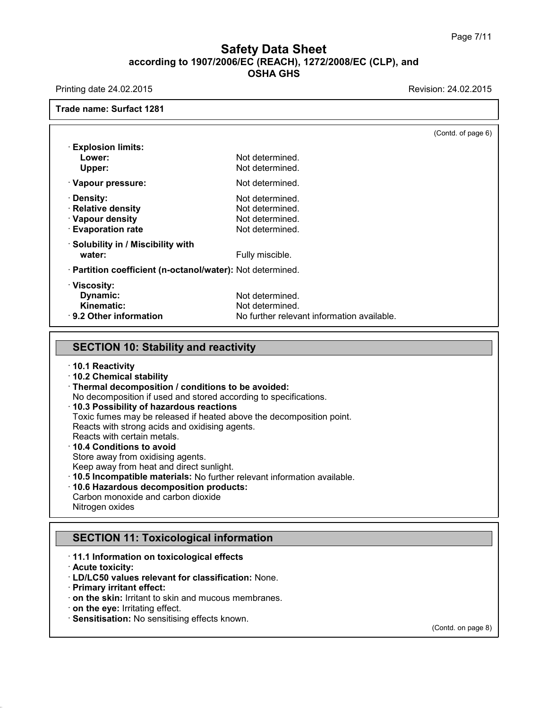Printing date 24.02.2015 **Printing date 24.02.2015** 

**Trade name: Surfact 1281**

(Contd. of page 6) · **Explosion limits: Lower:** Not determined. Upper: Not determined. · **Vapour pressure:** Not determined. **Pensity:** Not determined.<br> **Relative density**<br>
Relative density **Not determined. · Relative density Vapour density** Not determined. **Evaporation rate** Not determined. · **Solubility in / Miscibility with water:** Water: The Manuscripture of the Fully miscible. · **Partition coefficient (n-octanol/water):** Not determined. · **Viscosity: Dynamic:** Not determined.<br> **Kinematic:** Not determined. **Kinematic:** Not determined.<br> **Results:** No further relevant and No further relevant Results: No further relevant and No. · **9.2 Other information** No further relevant information available.

#### **SECTION 10: Stability and reactivity**

- · **10.1 Reactivity**
- · **10.2 Chemical stability**
- · **Thermal decomposition / conditions to be avoided:**
- No decomposition if used and stored according to specifications.
- · **10.3 Possibility of hazardous reactions**
- Toxic fumes may be released if heated above the decomposition point.

Reacts with strong acids and oxidising agents.

Reacts with certain metals.

#### · **10.4 Conditions to avoid**

Store away from oxidising agents.

Keep away from heat and direct sunlight.

- · **10.5 Incompatible materials:** No further relevant information available.
- · **10.6 Hazardous decomposition products:**
- Carbon monoxide and carbon dioxide Nitrogen oxides

## **SECTION 11: Toxicological information**

- · **11.1 Information on toxicological effects**
- · **Acute toxicity:**

40.1.0

- · **LD/LC50 values relevant for classification:** None.
- · **Primary irritant effect:**
- · **on the skin:** Irritant to skin and mucous membranes.
- · **on the eye:** Irritating effect.
- · **Sensitisation:** No sensitising effects known.

(Contd. on page 8)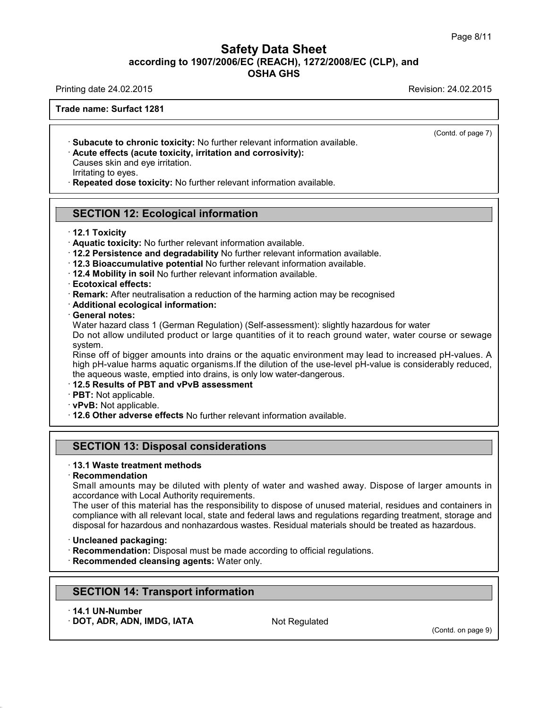Printing date 24.02.2015 Revision: 24.02.2015

(Contd. of page 7)

**Trade name: Surfact 1281**

· **Subacute to chronic toxicity:** No further relevant information available.

· **Acute effects (acute toxicity, irritation and corrosivity):**

Causes skin and eye irritation.

Irritating to eyes.

· **Repeated dose toxicity:** No further relevant information available.

## **SECTION 12: Ecological information**

· **12.1 Toxicity**

· **Aquatic toxicity:** No further relevant information available.

- · **12.2 Persistence and degradability** No further relevant information available.
- · **12.3 Bioaccumulative potential** No further relevant information available.
- · **12.4 Mobility in soil** No further relevant information available.
- · **Ecotoxical effects:**

· **Remark:** After neutralisation a reduction of the harming action may be recognised

- · **Additional ecological information:**
- · **General notes:**

Water hazard class 1 (German Regulation) (Self-assessment): slightly hazardous for water Do not allow undiluted product or large quantities of it to reach ground water, water course or sewage system.

Rinse off of bigger amounts into drains or the aquatic environment may lead to increased pH-values. A high pH-value harms aquatic organisms.If the dilution of the use-level pH-value is considerably reduced, the aqueous waste, emptied into drains, is only low water-dangerous.

#### · **12.5 Results of PBT and vPvB assessment**

- · **PBT:** Not applicable.
- · **vPvB:** Not applicable.
- · **12.6 Other adverse effects** No further relevant information available.

#### **SECTION 13: Disposal considerations**

#### · **13.1 Waste treatment methods**

#### · **Recommendation**

Small amounts may be diluted with plenty of water and washed away. Dispose of larger amounts in accordance with Local Authority requirements.

The user of this material has the responsibility to dispose of unused material, residues and containers in compliance with all relevant local, state and federal laws and regulations regarding treatment, storage and disposal for hazardous and nonhazardous wastes. Residual materials should be treated as hazardous.

#### · **Uncleaned packaging:**

- · **Recommendation:** Disposal must be made according to official regulations.
- · **Recommended cleansing agents:** Water only.

## **SECTION 14: Transport information**

· **14.1 UN-Number**

40.1.0

· **DOT, ADR, ADN, IMDG, IATA** Not Regulated

(Contd. on page 9)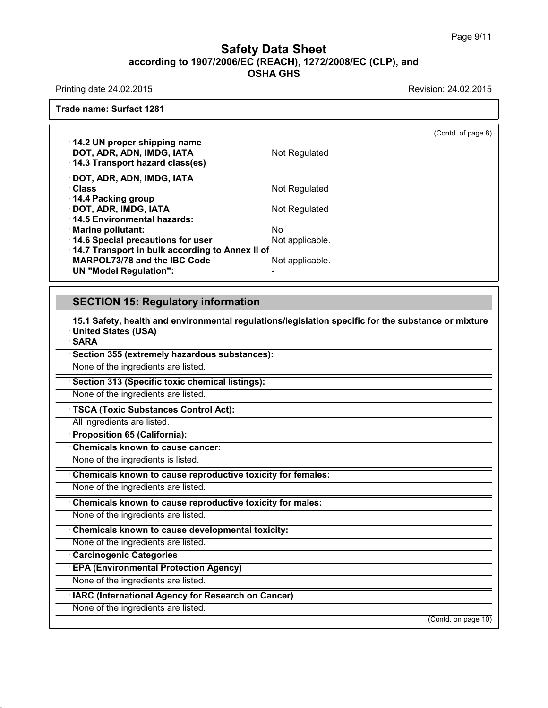Printing date 24.02.2015 **Printing date 24.02.2015** 

(Contd. of page 8)

**Trade name: Surfact 1281**

| $\cdot$ 14.2 UN proper shipping name<br>· DOT, ADR, ADN, IMDG, IATA<br>14.3 Transport hazard class(es) | Not Regulated   |  |
|--------------------------------------------------------------------------------------------------------|-----------------|--|
| · DOT, ADR, ADN, IMDG, IATA                                                                            |                 |  |
| ∴Class                                                                                                 | Not Regulated   |  |
| 14.4 Packing group                                                                                     |                 |  |
| · DOT, ADR, IMDG, IATA                                                                                 | Not Regulated   |  |
| 14.5 Environmental hazards:                                                                            |                 |  |
| · Marine pollutant:                                                                                    | No              |  |
| 14.6 Special precautions for user                                                                      | Not applicable. |  |
| 14.7 Transport in bulk according to Annex II of                                                        |                 |  |
| <b>MARPOL73/78 and the IBC Code</b>                                                                    | Not applicable. |  |
| · UN "Model Regulation":                                                                               |                 |  |

## **SECTION 15: Regulatory information**

· **15.1 Safety, health and environmental regulations/legislation specific for the substance ormixture** · **United States (USA)** · **SARA** · **Section 355 (extremely hazardous substances):** None of the ingredients are listed. · **Section 313 (Specific toxic chemical listings):** None of the ingredients are listed. · **TSCA (Toxic Substances Control Act):** All ingredients are listed. · **Proposition 65 (California):** · **Chemicals known to cause cancer:**

None of the ingredients is listed.

· **Chemicals known to cause reproductive toxicity for females:**

None of the ingredients are listed.

· **Chemicals known to cause reproductive toxicity for males:**

None of the ingredients are listed.

· **Chemicals known to cause developmental toxicity:**

None of the ingredients are listed.

· **Carcinogenic Categories**

40.1.0

· **EPA (Environmental Protection Agency)**

None of the ingredients are listed.

· **IARC (International Agency for Research on Cancer)**

None of the ingredients are listed.

(Contd. on page 10)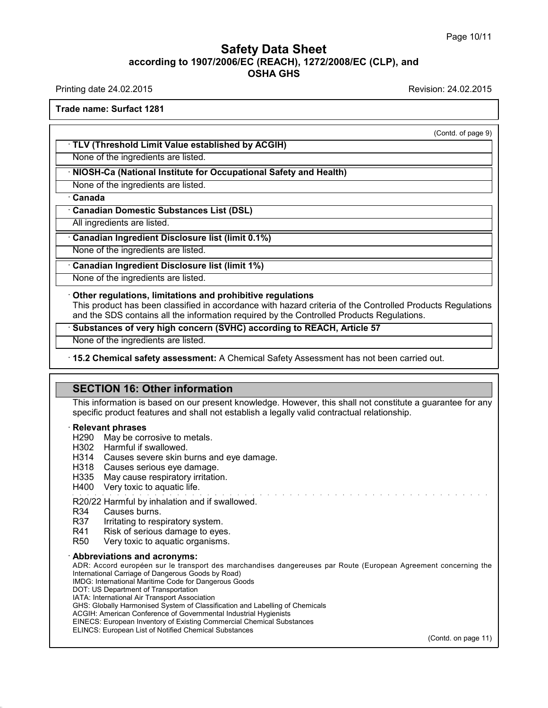Printing date 24.02.2015 Revision: 24.02.2015

**Trade name: Surfact 1281**

(Contd. of page 9)

· **TLV (Threshold Limit Value established by ACGIH)**

None of the ingredients are listed.

#### · **NIOSH-Ca (National Institute for Occupational Safety and Health)**

None of the ingredients are listed.

· **Canada**

· **Canadian Domestic Substances List (DSL)**

All ingredients are listed.

#### · **Canadian Ingredient Disclosure list (limit 0.1%)**

None of the ingredients are listed.

· **Canadian Ingredient Disclosure list (limit 1%)**

None of the ingredients are listed.

#### · **Other regulations, limitations and prohibitive regulations**

This product has been classified in accordance with hazard criteria of the Controlled Products Regulations and the SDS contains all the information required by the Controlled Products Regulations.

· **Substances of very high concern (SVHC) according to REACH, Article 57**

None of the ingredients are listed.

· **15.2 Chemical safety assessment:** A Chemical Safety Assessment has not been carried out.

#### **SECTION 16: Other information**

This information is based on our present knowledge. However, this shall not constitute a guarantee for any specific product features and shall not establish a legally valid contractual relationship.

#### · **Relevant phrases**

H290 May be corrosive to metals.

- H302 Harmful if swallowed.
- H314 Causes severe skin burns and eye damage.
- H318 Causes serious eye damage.
- H335 May cause respiratory irritation.
- H400 Very toxic to aquatic life.

#### R20/22 Harmful by inhalation and if swallowed.

40.1.0

- R34 Causes burns.<br>R37 Irritating to resi R37 Irritating to respiratory system.<br>R41 Risk of serious damage to ever
- 
- R41 Risk of serious damage to eyes.<br>R50 Very toxic to aquatic organisms. Very toxic to aquatic organisms.

#### · **Abbreviations and acronyms:**

ADR: Accord européen sur le transport des marchandises dangereuses par Route (European Agreement concerning the International Carriage of Dangerous Goods by Road) IMDG: International Maritime Code for Dangerous Goods

DOT: US Department of Transportation

IATA: International Air Transport Association

- GHS: Globally Harmonised System of Classification and Labelling of Chemicals
- ACGIH: American Conference of Governmental Industrial Hygienists
- EINECS: European Inventory of Existing Commercial Chemical Substances

ELINCS: European List of Notified Chemical Substances

(Contd. on page 11)